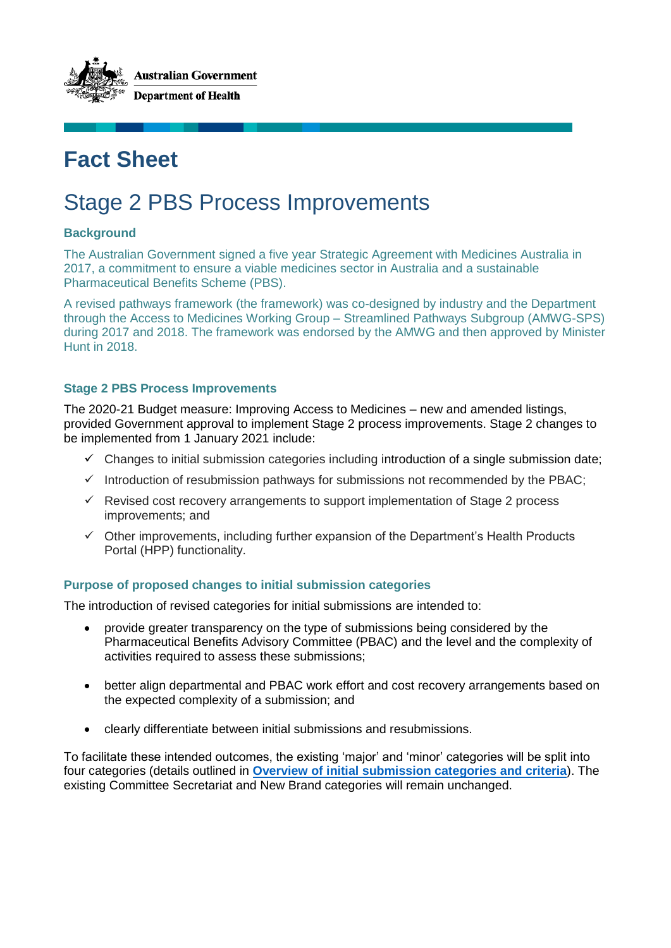

# **Fact Sheet**

# Stage 2 PBS Process Improvements

# **Background**

The Australian Government signed a five year Strategic Agreement with Medicines Australia in 2017, a commitment to ensure a viable medicines sector in Australia and a sustainable Pharmaceutical Benefits Scheme (PBS).

A revised pathways framework (the framework) was co-designed by industry and the Department through the Access to Medicines Working Group – Streamlined Pathways Subgroup (AMWG-SPS) during 2017 and 2018. The framework was endorsed by the AMWG and then approved by Minister Hunt in 2018.

## **Stage 2 PBS Process Improvements**

The 2020-21 Budget measure: Improving Access to Medicines – new and amended listings, provided Government approval to implement Stage 2 process improvements. Stage 2 changes to be implemented from 1 January 2021 include:

- $\checkmark$  Changes to initial submission categories including introduction of a single submission date;
- $\checkmark$  Introduction of resubmission pathways for submissions not recommended by the PBAC;
- $\checkmark$  Revised cost recovery arrangements to support implementation of Stage 2 process improvements; and
- $\checkmark$  Other improvements, including further expansion of the Department's Health Products Portal (HPP) functionality.

## **Purpose of proposed changes to initial submission categories**

The introduction of revised categories for initial submissions are intended to:

- provide greater transparency on the type of submissions being considered by the Pharmaceutical Benefits Advisory Committee (PBAC) and the level and the complexity of activities required to assess these submissions;
- better align departmental and PBAC work effort and cost recovery arrangements based on the expected complexity of a submission; and
- clearly differentiate between initial submissions and resubmissions.

To facilitate these intended outcomes, the existing 'major' and 'minor' categories will be split into four categories (details outlined in **[Overview of initial submission categories and criteria](#page-1-0)**). The existing Committee Secretariat and New Brand categories will remain unchanged.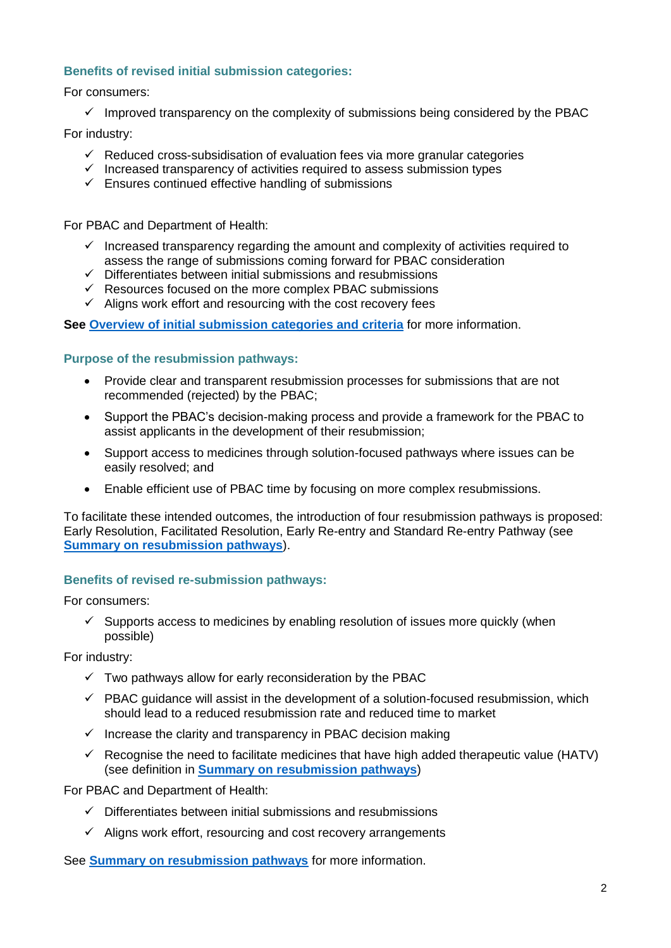## **Benefits of revised initial submission categories:**

For consumers:

 $\checkmark$  Improved transparency on the complexity of submissions being considered by the PBAC

For industry:

- $\checkmark$  Reduced cross-subsidisation of evaluation fees via more granular categories
- $\checkmark$  Increased transparency of activities required to assess submission types
- $\checkmark$  Ensures continued effective handling of submissions

For PBAC and Department of Health:

- $\checkmark$  Increased transparency regarding the amount and complexity of activities required to assess the range of submissions coming forward for PBAC consideration
- $\checkmark$  Differentiates between initial submissions and resubmissions
- $\checkmark$  Resources focused on the more complex PBAC submissions
- $\checkmark$  Aligns work effort and resourcing with the cost recovery fees

**See [Overview of initial submission categories and criteria](#page-1-0)** for more information.

## **Purpose of the resubmission pathways:**

- Provide clear and transparent resubmission processes for submissions that are not recommended (rejected) by the PBAC;
- Support the PBAC's decision-making process and provide a framework for the PBAC to assist applicants in the development of their resubmission;
- Support access to medicines through solution-focused pathways where issues can be easily resolved; and
- Enable efficient use of PBAC time by focusing on more complex resubmissions.

To facilitate these intended outcomes, the introduction of four resubmission pathways is proposed: Early Resolution, Facilitated Resolution, Early Re-entry and Standard Re-entry Pathway (see **[Summary on resubmission pathways](#page-3-0)**).

## **Benefits of revised re-submission pathways:**

For consumers:

 $\checkmark$  Supports access to medicines by enabling resolution of issues more quickly (when possible)

For industry:

- $\checkmark$  Two pathways allow for early reconsideration by the PBAC
- $\checkmark$  PBAC guidance will assist in the development of a solution-focused resubmission, which should lead to a reduced resubmission rate and reduced time to market
- $\checkmark$  Increase the clarity and transparency in PBAC decision making
- $\checkmark$  Recognise the need to facilitate medicines that have high added therapeutic value (HATV) (see definition in **[Summary on resubmission pathways](#page-3-0)**)

For PBAC and Department of Health:

- <span id="page-1-0"></span> $\checkmark$  Differentiates between initial submissions and resubmissions
- $\checkmark$  Aligns work effort, resourcing and cost recovery arrangements

See **[Summary on resubmission pathways](#page-3-0)** for more information.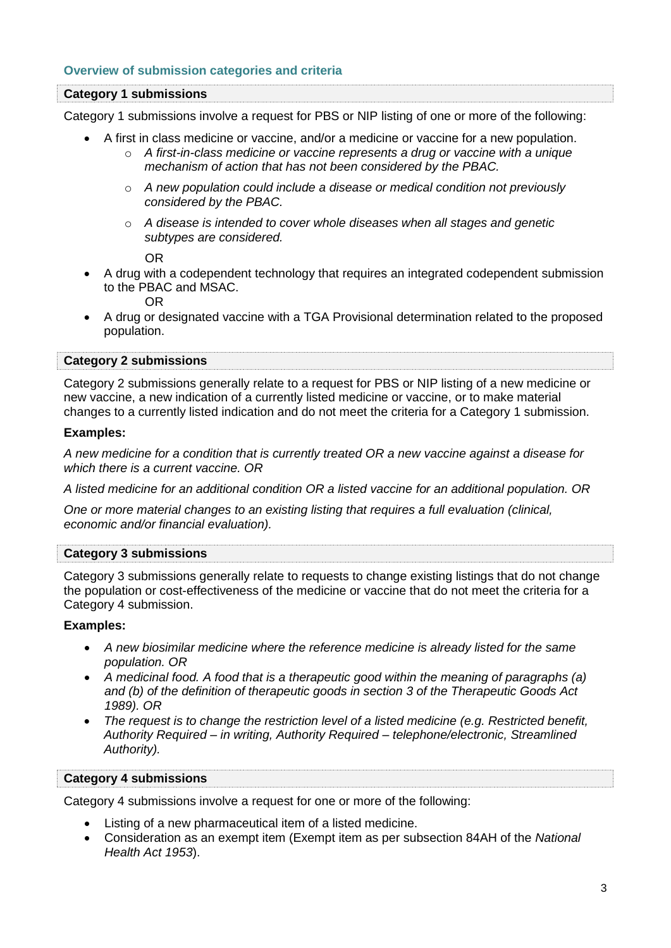#### **Overview of submission categories and criteria**

#### **Category 1 submissions**

Category 1 submissions involve a request for PBS or NIP listing of one or more of the following:

- A first in class medicine or vaccine, and/or a medicine or vaccine for a new population.
	- o *A first-in-class medicine or vaccine represents a drug or vaccine with a unique mechanism of action that has not been considered by the PBAC.*
	- o *A new population could include a disease or medical condition not previously considered by the PBAC.*
	- o *A disease is intended to cover whole diseases when all stages and genetic subtypes are considered.*

OR

 A drug with a codependent technology that requires an integrated codependent submission to the PBAC and MSAC.

OR

 A drug or designated vaccine with a TGA Provisional determination related to the proposed population.

#### **Category 2 submissions**

Category 2 submissions generally relate to a request for PBS or NIP listing of a new medicine or new vaccine, a new indication of a currently listed medicine or vaccine, or to make material changes to a currently listed indication and do not meet the criteria for a Category 1 submission.

#### **Examples:**

*A new medicine for a condition that is currently treated OR a new vaccine against a disease for which there is a current vaccine. OR*

*A listed medicine for an additional condition OR a listed vaccine for an additional population. OR*

*One or more material changes to an existing listing that requires a full evaluation (clinical, economic and/or financial evaluation).*

#### **Category 3 submissions**

Category 3 submissions generally relate to requests to change existing listings that do not change the population or cost-effectiveness of the medicine or vaccine that do not meet the criteria for a Category 4 submission.

#### **Examples:**

- *A new biosimilar medicine where the reference medicine is already listed for the same population. OR*
- *A medicinal food. A food that is a therapeutic good within the meaning of paragraphs (a) and (b) of the definition of therapeutic goods in section 3 of the Therapeutic Goods Act 1989). OR*
- *The request is to change the restriction level of a listed medicine (e.g. Restricted benefit, Authority Required – in writing, Authority Required – telephone/electronic, Streamlined Authority).*

#### **Category 4 submissions**

Category 4 submissions involve a request for one or more of the following:

- Listing of a new pharmaceutical item of a listed medicine.
- Consideration as an exempt item (Exempt item as per subsection 84AH of the *National Health Act 1953*).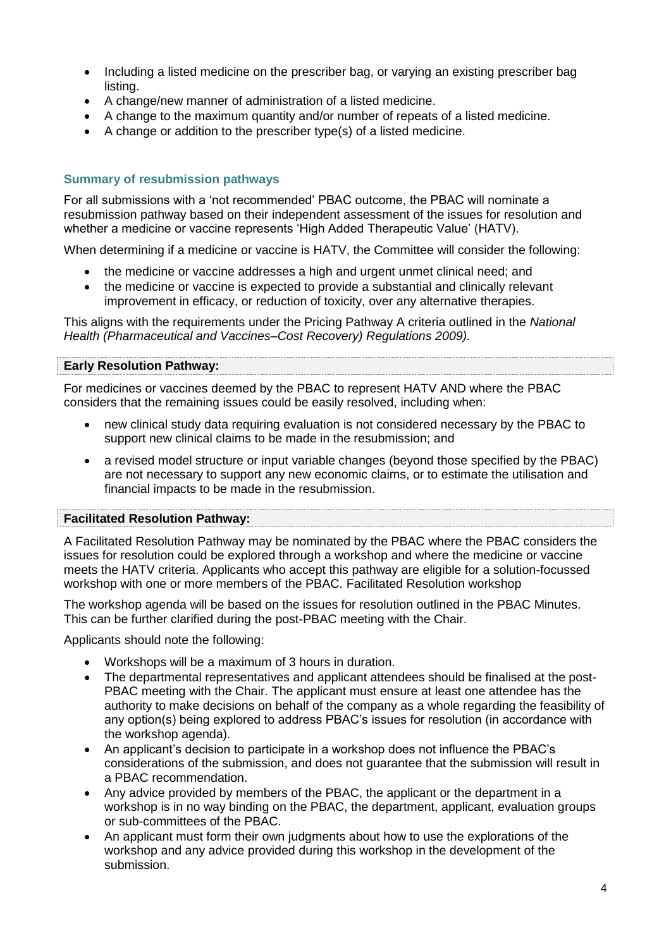- Including a listed medicine on the prescriber bag, or varying an existing prescriber bag listing.
- A change/new manner of administration of a listed medicine.
- A change to the maximum quantity and/or number of repeats of a listed medicine.
- A change or addition to the prescriber type(s) of a listed medicine.

## <span id="page-3-0"></span>**Summary of resubmission pathways**

For all submissions with a 'not recommended' PBAC outcome, the PBAC will nominate a resubmission pathway based on their independent assessment of the issues for resolution and whether a medicine or vaccine represents 'High Added Therapeutic Value' (HATV).

When determining if a medicine or vaccine is HATV, the Committee will consider the following:

- the medicine or vaccine addresses a high and urgent unmet clinical need; and
- the medicine or vaccine is expected to provide a substantial and clinically relevant improvement in efficacy, or reduction of toxicity, over any alternative therapies.

This aligns with the requirements under the Pricing Pathway A criteria outlined in the *National Health (Pharmaceutical and Vaccines–Cost Recovery) Regulations 2009).*

## **Early Resolution Pathway:**

For medicines or vaccines deemed by the PBAC to represent HATV AND where the PBAC considers that the remaining issues could be easily resolved, including when:

- new clinical study data requiring evaluation is not considered necessary by the PBAC to support new clinical claims to be made in the resubmission; and
- a revised model structure or input variable changes (beyond those specified by the PBAC) are not necessary to support any new economic claims, or to estimate the utilisation and financial impacts to be made in the resubmission.

## **Facilitated Resolution Pathway:**

A Facilitated Resolution Pathway may be nominated by the PBAC where the PBAC considers the issues for resolution could be explored through a workshop and where the medicine or vaccine meets the HATV criteria. Applicants who accept this pathway are eligible for a solution-focussed workshop with one or more members of the PBAC. Facilitated Resolution workshop

The workshop agenda will be based on the issues for resolution outlined in the PBAC Minutes. This can be further clarified during the post-PBAC meeting with the Chair.

Applicants should note the following:

- Workshops will be a maximum of 3 hours in duration.
- The departmental representatives and applicant attendees should be finalised at the post-PBAC meeting with the Chair. The applicant must ensure at least one attendee has the authority to make decisions on behalf of the company as a whole regarding the feasibility of any option(s) being explored to address PBAC's issues for resolution (in accordance with the workshop agenda).
- An applicant's decision to participate in a workshop does not influence the PBAC's considerations of the submission, and does not guarantee that the submission will result in a PBAC recommendation.
- Any advice provided by members of the PBAC, the applicant or the department in a workshop is in no way binding on the PBAC, the department, applicant, evaluation groups or sub-committees of the PBAC.
- An applicant must form their own judgments about how to use the explorations of the workshop and any advice provided during this workshop in the development of the submission.